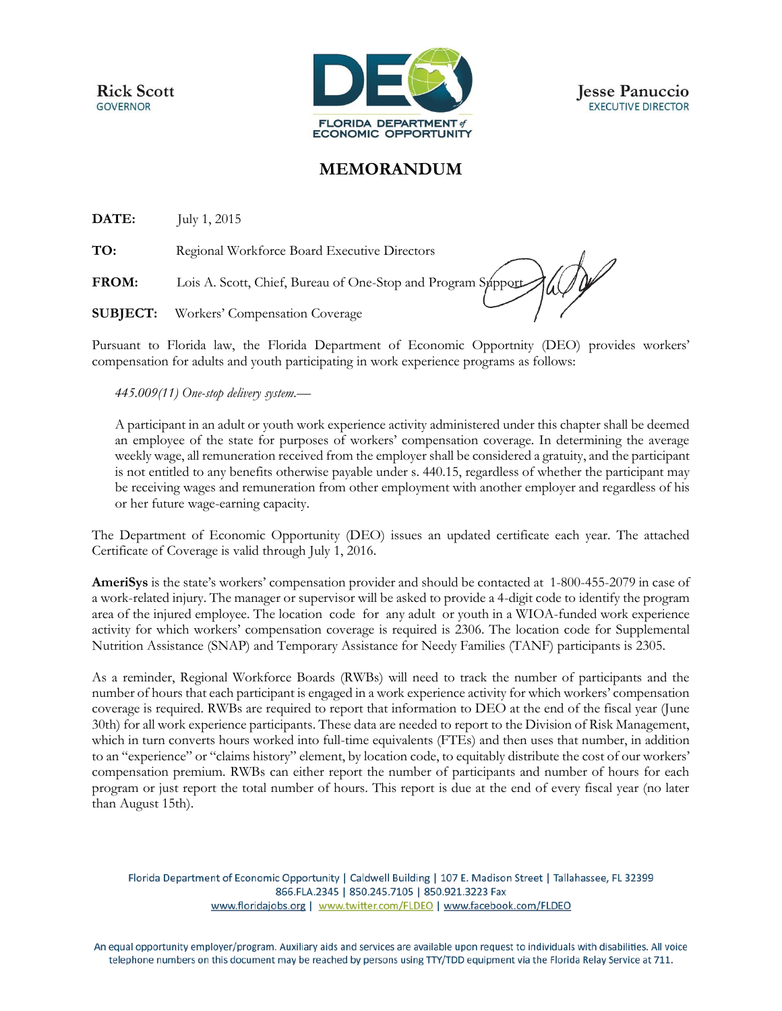**Rick Scott GOVERNOR** 



**Jesse Panuccio EXECUTIVE DIRECTOR** 

## **MEMORANDUM**

**DATE:** July 1, 2015

**TO:** Regional Workforce Board Executive Directors

**FROM:** Lois A. Scott, Chief, Bureau of One-Stop and Program Support

**SUBJECT:** Workers' Compensation Coverage

Pursuant to Florida law, the Florida Department of Economic Opportnity (DEO) provides workers' compensation for adults and youth participating in work experience programs as follows:

## *445.009(11) One-stop delivery system.—*

A participant in an adult or youth work experience activity administered under this chapter shall be deemed an employee of the state for purposes of workers' compensation coverage. In determining the average weekly wage, all remuneration received from the employer shall be considered a gratuity, and the participant is not entitled to any benefits otherwise payable under s. 440.15, regardless of whether the participant may be receiving wages and remuneration from other employment with another employer and regardless of his or her future wage-earning capacity.

The Department of Economic Opportunity (DEO) issues an updated certificate each year. The attached Certificate of Coverage is valid through July 1, 2016.

**AmeriSys** is the state's workers' compensation provider and should be contacted at 1-800-455-2079 in case of a work-related injury. The manager or supervisor will be asked to provide a 4-digit code to identify the program area of the injured employee. The location code for any adult or youth in a WIOA-funded work experience activity for which workers' compensation coverage is required is 2306. The location code for Supplemental Nutrition Assistance (SNAP) and Temporary Assistance for Needy Families (TANF) participants is 2305.

As a reminder, Regional Workforce Boards (RWBs) will need to track the number of participants and the number of hours that each participant is engaged in a work experience activity for which workers' compensation coverage is required. RWBs are required to report that information to DEO at the end of the fiscal year (June 30th) for all work experience participants. These data are needed to report to the Division of Risk Management, which in turn converts hours worked into full-time equivalents (FTEs) and then uses that number, in addition to an "experience" or "claims history" element, by location code, to equitably distribute the cost of our workers' compensation premium. RWBs can either report the number of participants and number of hours for each program or just report the total number of hours. This report is due at the end of every fiscal year (no later than August 15th).

Florida Department of Economic Opportunity | Caldwell Building | 107 E. Madison Street | Tallahassee, FL 32399 866.FLA.2345 | 850.245.7105 | 850.921.3223 Fax www.floridajobs.org | www.twitter.com/FLDEO | www.facebook.com/FLDEO

An equal opportunity employer/program. Auxiliary aids and services are available upon request to individuals with disabilities. All voice telephone numbers on this document may be reached by persons using TTY/TDD equipment via the Florida Relay Service at 711.